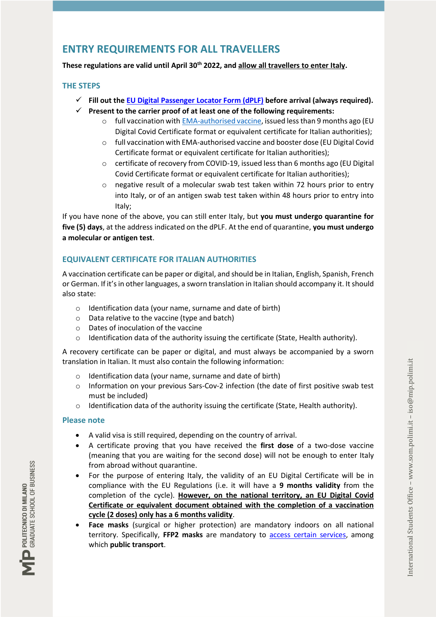# **ENTRY REQUIREMENTS FOR ALL TRAVELLERS**

**These regulations are valid until April 30th 2022, and allow all travellers to enter Italy.**

#### **THE STEPS**

- **Fill out th[e EU Digital Passenger Locator Form \(dPLF\)](https://app.euplf.eu/#/) before arrival (always required).**
- **Present to the carrier proof of at least one of the following requirements:**
	- $\circ$  full vaccination with [EMA-authorised vaccine,](https://www.ema.europa.eu/en/human-regulatory/overview/public-health-threats/coronavirus-disease-covid-19/treatments-vaccines/vaccines-covid-19/covid-19-vaccines-authorised) issued less than 9 months ago (EU Digital Covid Certificate format or equivalent certificate for Italian authorities);
	- o full vaccination with EMA-authorised vaccine and booster dose (EU Digital Covid Certificate format or equivalent certificate for Italian authorities);
	- o certificate of recovery from COVID-19, issued less than 6 months ago (EU Digital Covid Certificate format or equivalent certificate for Italian authorities);
	- o negative result of a molecular swab test taken within 72 hours prior to entry into Italy, or of an antigen swab test taken within 48 hours prior to entry into Italy;

If you have none of the above, you can still enter Italy, but **you must undergo quarantine for five (5) days**, at the address indicated on the dPLF. At the end of quarantine, **you must undergo a molecular or antigen test**.

# **EQUIVALENT CERTIFICATE FOR ITALIAN AUTHORITIES**

A vaccination certificate can be paper or digital, and should be in Italian, English, Spanish, French or German. If it's in other languages, a sworn translation in Italian should accompany it. It should also state:

- o Identification data (your name, surname and date of birth)
- o Data relative to the vaccine (type and batch)
- o Dates of inoculation of the vaccine
- $\circ$  Identification data of the authority issuing the certificate (State, Health authority).

A recovery certificate can be paper or digital, and must always be accompanied by a sworn translation in Italian. It must also contain the following information:

- o Identification data (your name, surname and date of birth)
- o Information on your previous Sars-Cov-2 infection (the date of first positive swab test must be included)
- o Identification data of the authority issuing the certificate (State, Health authority).

## **Please note**

- A valid visa is still required, depending on the country of arrival.
- A certificate proving that you have received the **first dose** of a two-dose vaccine (meaning that you are waiting for the second dose) will not be enough to enter Italy from abroad without quarantine.
- For the purpose of entering Italy, the validity of an EU Digital Certificate will be in compliance with the EU Regulations (i.e. it will have a **9 months validity** from the completion of the cycle). **However, on the national territory, an EU Digital Covid Certificate or equivalent document obtained with the completion of a vaccination cycle (2 doses) only has a 6 months validity**.
- **Face masks** (surgical or higher protection) are mandatory indoors on all national territory. Specifically, **FFP2 masks** are mandatory to [access certain services,](https://www.som.polimi.it/covidfaq/#section03) among which **public transport**.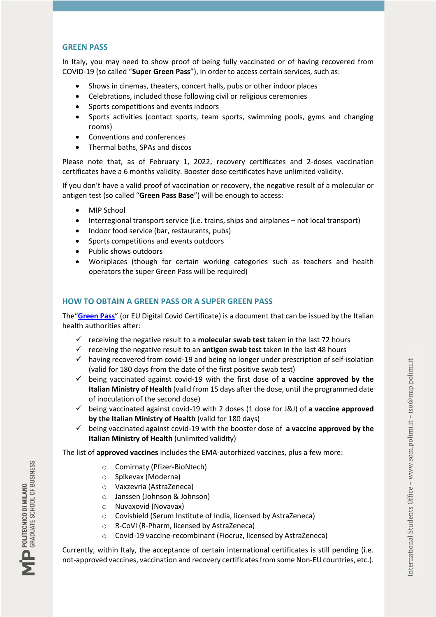#### **GREEN PASS**

In Italy, you may need to show proof of being fully vaccinated or of having recovered from COVID-19 (so called "**Super Green Pass**"), in order to access certain services, such as:

- Shows in cinemas, theaters, concert halls, pubs or other indoor places
- Celebrations, included those following civil or religious ceremonies
- Sports competitions and events indoors
- Sports activities (contact sports, team sports, swimming pools, gyms and changing rooms)
- Conventions and conferences
- Thermal baths, SPAs and discos

Please note that, as of February 1, 2022, recovery certificates and 2-doses vaccination certificates have a 6 months validity. Booster dose certificates have unlimited validity.

If you don't have a valid proof of vaccination or recovery, the negative result of a molecular or antigen test (so called "**Green Pass Base**") will be enough to access:

- MIP School
- Interregional transport service (i.e. trains, ships and airplanes not local transport)
- Indoor food service (bar, restaurants, pubs)
- Sports competitions and events outdoors
- Public shows outdoors
- Workplaces (though for certain working categories such as teachers and health operators the super Green Pass will be required)

## **HOW TO OBTAIN A GREEN PASS OR A SUPER GREEN PASS**

The"**[Green Pass](https://ec.europa.eu/info/live-work-travel-eu/coronavirus-response/safe-covid-19-vaccines-europeans/eu-digital-covid-certificate_en)**" (or EU Digital Covid Certificate) is a document that can be issued by the Italian health authorities after:

- receiving the negative result to a **molecular swab test** taken in the last 72 hours
- $\checkmark$  receiving the negative result to an **antigen swab test** taken in the last 48 hours
- $\checkmark$  having recovered from covid-19 and being no longer under prescription of self-isolation (valid for 180 days from the date of the first positive swab test)
- being vaccinated against covid-19 with the first dose of **a vaccine approved by the Italian Ministry of Health** (valid from 15 days after the dose, until the programmed date of inoculation of the second dose)
- being vaccinated against covid-19 with 2 doses (1 dose for J&J) of **a vaccine approved by the Italian Ministry of Health** (valid for 180 days)
- being vaccinated against covid-19 with the booster dose of **a vaccine approved by the Italian Ministry of Health** (unlimited validity)

The list of **approved vaccines** includes the EMA-autorhized vaccines, plus a few more:

- o Comirnaty (Pfizer-BioNtech)
- o Spikevax (Moderna)
- o Vaxzevria (AstraZeneca)
- o Janssen (Johnson & Johnson)
- o Nuvaxovid (Novavax)
- o Covishield (Serum Institute of India, licensed by AstraZeneca)
- o R-CoVI (R-Pharm, licensed by AstraZeneca)
- o Covid-19 vaccine-recombinant (Fiocruz, licensed by AstraZeneca)

Currently, within Italy, the acceptance of certain international certificates is still pending (i.e. not-approved vaccines, vaccination and recovery certificates from some Non-EU countries, etc.).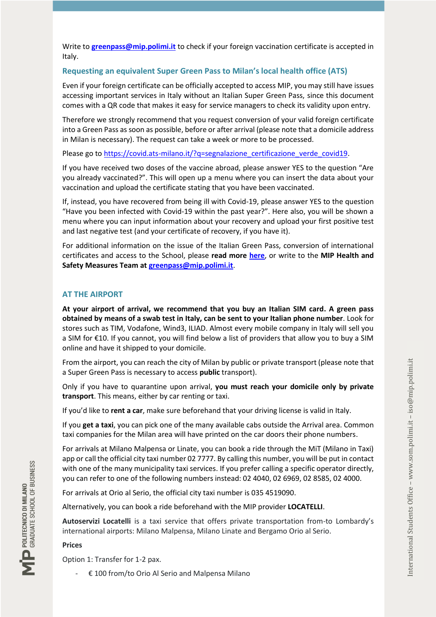Write to **[greenpass@mip.polimi.it](mailto:greenpass@mip.polimi.it)** to check if your foreign vaccination certificate is accepted in Italy.

## **Requesting an equivalent Super Green Pass to Milan's local health office (ATS)**

Even if your foreign certificate can be officially accepted to access MIP, you may still have issues accessing important services in Italy without an Italian Super Green Pass, since this document comes with a QR code that makes it easy for service managers to check its validity upon entry.

Therefore we strongly recommend that you request conversion of your valid foreign certificate into a Green Pass as soon as possible, before or after arrival (please note that a domicile address in Milan is necessary). The request can take a week or more to be processed.

Please go t[o https://covid.ats-milano.it/?q=segnalazione\\_certificazione\\_verde\\_covid19.](https://covid.ats-milano.it/?q=segnalazione_certificazione_verde_covid19)

If you have received two doses of the vaccine abroad, please answer YES to the question "Are you already vaccinated?". This will open up a menu where you can insert the data about your vaccination and upload the certificate stating that you have been vaccinated.

If, instead, you have recovered from being ill with Covid-19, please answer YES to the question "Have you been infected with Covid-19 within the past year?". Here also, you will be shown a menu where you can input information about your recovery and upload your first positive test and last negative test (and your certificate of recovery, if you have it).

For additional information on the issue of the Italian Green Pass, conversion of international certificates and access to the School, please **read more [here](https://www.som.polimi.it/covidfaq/#greenpass)**, or write to the **MIP Health and Safety Measures Team at [greenpass@mip.polimi.it](mailto:greenpass@mip.polimi.it)**.

# **AT THE AIRPORT**

**At your airport of arrival, we recommend that you buy an Italian SIM card. A green pass obtained by means of a swab test in Italy, can be sent to your Italian phone number**. Look for stores such as TIM, Vodafone, Wind3, ILIAD. Almost every mobile company in Italy will sell you a SIM for €10. If you cannot, you will find below a list of providers that allow you to buy a SIM online and have it shipped to your domicile.

From the airport, you can reach the city of Milan by public or private transport (please note that a Super Green Pass is necessary to access **public** transport).

Only if you have to quarantine upon arrival, **you must reach your domicile only by private transport**. This means, either by car renting or taxi.

If you'd like to **rent a car**, make sure beforehand that your driving license is valid in Italy.

If you **get a taxi**, you can pick one of the many available cabs outside the Arrival area. Common taxi companies for the Milan area will have printed on the car doors their phone numbers.

For arrivals at Milano Malpensa or Linate, you can book a ride through the MiT (Milano in Taxi) app or call the official city taxi number 02 7777. By calling this number, you will be put in contact with one of the many municipality taxi services. If you prefer calling a specific operator directly, you can refer to one of the following numbers instead: 02 4040, 02 6969, 02 8585, 02 4000.

For arrivals at Orio al Serio, the official city taxi number is 035 4519090.

Alternatively, you can book a ride beforehand with the MIP provider **LOCATELLI**.

**Autoservizi Locatelli** is a taxi service that offers private transportation from-to Lombardy's international airports: Milano Malpensa, Milano Linate and Bergamo Orio al Serio.

## **Prices**

Option 1: Transfer for 1-2 pax.

€ 100 from/to Orio Al Serio and Malpensa Milano